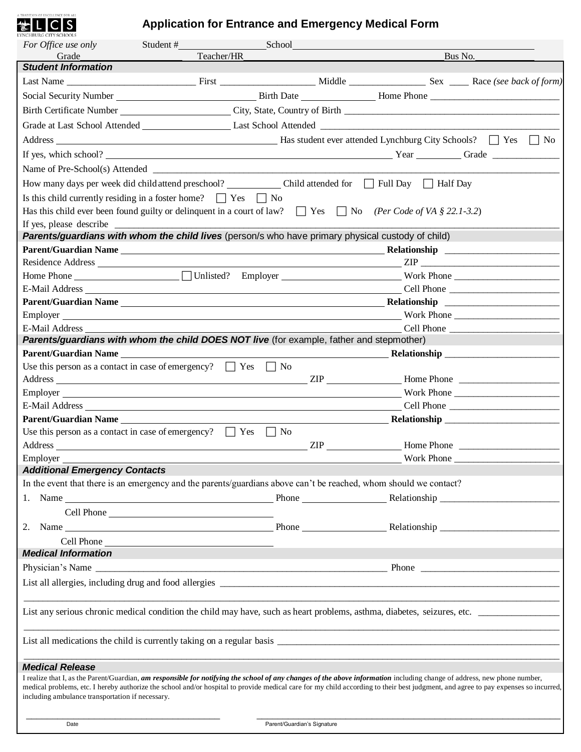# **TRADITION OF EXCELLENCE FOR ALL**

# **Application for Entrance and Emergency Medical Form**

| For Office use only                                                                                                                                                                                                                                                                                                                                                                                                | Student#                                                                                                                                                                                                                       | School |                |            |                                                                                                                                                                                                                                                         |  |
|--------------------------------------------------------------------------------------------------------------------------------------------------------------------------------------------------------------------------------------------------------------------------------------------------------------------------------------------------------------------------------------------------------------------|--------------------------------------------------------------------------------------------------------------------------------------------------------------------------------------------------------------------------------|--------|----------------|------------|---------------------------------------------------------------------------------------------------------------------------------------------------------------------------------------------------------------------------------------------------------|--|
| Grade                                                                                                                                                                                                                                                                                                                                                                                                              | Teacher/HR                                                                                                                                                                                                                     |        |                | Bus No.    |                                                                                                                                                                                                                                                         |  |
| <b>Student Information</b>                                                                                                                                                                                                                                                                                                                                                                                         |                                                                                                                                                                                                                                |        |                |            |                                                                                                                                                                                                                                                         |  |
|                                                                                                                                                                                                                                                                                                                                                                                                                    |                                                                                                                                                                                                                                |        |                |            |                                                                                                                                                                                                                                                         |  |
|                                                                                                                                                                                                                                                                                                                                                                                                                    |                                                                                                                                                                                                                                |        |                |            |                                                                                                                                                                                                                                                         |  |
|                                                                                                                                                                                                                                                                                                                                                                                                                    |                                                                                                                                                                                                                                |        |                |            |                                                                                                                                                                                                                                                         |  |
|                                                                                                                                                                                                                                                                                                                                                                                                                    |                                                                                                                                                                                                                                |        |                |            |                                                                                                                                                                                                                                                         |  |
|                                                                                                                                                                                                                                                                                                                                                                                                                    |                                                                                                                                                                                                                                |        |                |            |                                                                                                                                                                                                                                                         |  |
| If yes, which school?                                                                                                                                                                                                                                                                                                                                                                                              |                                                                                                                                                                                                                                |        |                |            |                                                                                                                                                                                                                                                         |  |
|                                                                                                                                                                                                                                                                                                                                                                                                                    |                                                                                                                                                                                                                                |        |                |            |                                                                                                                                                                                                                                                         |  |
|                                                                                                                                                                                                                                                                                                                                                                                                                    |                                                                                                                                                                                                                                |        |                |            |                                                                                                                                                                                                                                                         |  |
| Is this child currently residing in a foster home? $\Box$ Yes $\Box$ No                                                                                                                                                                                                                                                                                                                                            |                                                                                                                                                                                                                                |        |                |            |                                                                                                                                                                                                                                                         |  |
|                                                                                                                                                                                                                                                                                                                                                                                                                    | Has this child ever been found guilty or delinquent in a court of law? $\Box$ Yes $\Box$ No (Per Code of VA § 22.1-3.2)                                                                                                        |        |                |            |                                                                                                                                                                                                                                                         |  |
| If yes, please describe                                                                                                                                                                                                                                                                                                                                                                                            |                                                                                                                                                                                                                                |        |                |            |                                                                                                                                                                                                                                                         |  |
|                                                                                                                                                                                                                                                                                                                                                                                                                    | Parents/guardians with whom the child lives (person/s who have primary physical custody of child)                                                                                                                              |        |                |            |                                                                                                                                                                                                                                                         |  |
|                                                                                                                                                                                                                                                                                                                                                                                                                    |                                                                                                                                                                                                                                |        |                |            |                                                                                                                                                                                                                                                         |  |
|                                                                                                                                                                                                                                                                                                                                                                                                                    |                                                                                                                                                                                                                                |        |                |            |                                                                                                                                                                                                                                                         |  |
|                                                                                                                                                                                                                                                                                                                                                                                                                    |                                                                                                                                                                                                                                |        |                |            |                                                                                                                                                                                                                                                         |  |
|                                                                                                                                                                                                                                                                                                                                                                                                                    | E-Mail Address North Communication of the Communication of the Communication of the Communication of the Communication of the Communication of the Communication of the Communication of the Communication of the Communicatio |        |                |            | Cell Phone                                                                                                                                                                                                                                              |  |
|                                                                                                                                                                                                                                                                                                                                                                                                                    | Parent/Guardian Name Relationship Relationship Relationship Relationship Relationship Parent/Guardian Name Relationship Relationship Relationship Relationship Relationship Relationship Relationship Relationship Relationshi |        |                |            |                                                                                                                                                                                                                                                         |  |
|                                                                                                                                                                                                                                                                                                                                                                                                                    |                                                                                                                                                                                                                                |        |                |            |                                                                                                                                                                                                                                                         |  |
| E-Mail Address                                                                                                                                                                                                                                                                                                                                                                                                     |                                                                                                                                                                                                                                |        |                |            |                                                                                                                                                                                                                                                         |  |
|                                                                                                                                                                                                                                                                                                                                                                                                                    | Parents/guardians with whom the child DOES NOT live (for example, father and stepmother)                                                                                                                                       |        |                |            |                                                                                                                                                                                                                                                         |  |
|                                                                                                                                                                                                                                                                                                                                                                                                                    | <b>Parent/Guardian Name</b>                                                                                                                                                                                                    |        |                |            |                                                                                                                                                                                                                                                         |  |
|                                                                                                                                                                                                                                                                                                                                                                                                                    | Use this person as a contact in case of emergency? $\Box$ Yes $\Box$ No                                                                                                                                                        |        |                |            |                                                                                                                                                                                                                                                         |  |
|                                                                                                                                                                                                                                                                                                                                                                                                                    |                                                                                                                                                                                                                                |        |                |            |                                                                                                                                                                                                                                                         |  |
|                                                                                                                                                                                                                                                                                                                                                                                                                    |                                                                                                                                                                                                                                |        |                |            | Work Phone                                                                                                                                                                                                                                              |  |
| Parent/Guardian Name                                                                                                                                                                                                                                                                                                                                                                                               |                                                                                                                                                                                                                                |        |                |            | Cell Phone<br><b>Example 2016 Relationship</b> <u>and the set of the set of the set of the set of the set of the set of the set of the set of the set of the set of the set of the set of the set of the set of the set of the set of the set of th</u> |  |
|                                                                                                                                                                                                                                                                                                                                                                                                                    | Use this person as a contact in case of emergency? $\Box$ Yes $\Box$ No                                                                                                                                                        |        |                |            |                                                                                                                                                                                                                                                         |  |
|                                                                                                                                                                                                                                                                                                                                                                                                                    |                                                                                                                                                                                                                                |        | $\mathsf{ZIP}$ |            | Home Phone                                                                                                                                                                                                                                              |  |
| Employer                                                                                                                                                                                                                                                                                                                                                                                                           |                                                                                                                                                                                                                                |        |                | Work Phone |                                                                                                                                                                                                                                                         |  |
| <b>Additional Emergency Contacts</b>                                                                                                                                                                                                                                                                                                                                                                               |                                                                                                                                                                                                                                |        |                |            |                                                                                                                                                                                                                                                         |  |
|                                                                                                                                                                                                                                                                                                                                                                                                                    | In the event that there is an emergency and the parents/guardians above can't be reached, whom should we contact?                                                                                                              |        |                |            |                                                                                                                                                                                                                                                         |  |
|                                                                                                                                                                                                                                                                                                                                                                                                                    |                                                                                                                                                                                                                                |        |                |            |                                                                                                                                                                                                                                                         |  |
|                                                                                                                                                                                                                                                                                                                                                                                                                    |                                                                                                                                                                                                                                |        |                |            |                                                                                                                                                                                                                                                         |  |
| 2.                                                                                                                                                                                                                                                                                                                                                                                                                 |                                                                                                                                                                                                                                |        |                |            |                                                                                                                                                                                                                                                         |  |
|                                                                                                                                                                                                                                                                                                                                                                                                                    | Cell Phone                                                                                                                                                                                                                     |        |                |            |                                                                                                                                                                                                                                                         |  |
| <b>Medical Information</b>                                                                                                                                                                                                                                                                                                                                                                                         |                                                                                                                                                                                                                                |        |                |            |                                                                                                                                                                                                                                                         |  |
|                                                                                                                                                                                                                                                                                                                                                                                                                    |                                                                                                                                                                                                                                |        |                |            |                                                                                                                                                                                                                                                         |  |
|                                                                                                                                                                                                                                                                                                                                                                                                                    |                                                                                                                                                                                                                                |        |                |            |                                                                                                                                                                                                                                                         |  |
|                                                                                                                                                                                                                                                                                                                                                                                                                    |                                                                                                                                                                                                                                |        |                |            |                                                                                                                                                                                                                                                         |  |
|                                                                                                                                                                                                                                                                                                                                                                                                                    |                                                                                                                                                                                                                                |        |                |            |                                                                                                                                                                                                                                                         |  |
|                                                                                                                                                                                                                                                                                                                                                                                                                    | List any serious chronic medical condition the child may have, such as heart problems, asthma, diabetes, seizures, etc.                                                                                                        |        |                |            |                                                                                                                                                                                                                                                         |  |
|                                                                                                                                                                                                                                                                                                                                                                                                                    |                                                                                                                                                                                                                                |        |                |            |                                                                                                                                                                                                                                                         |  |
|                                                                                                                                                                                                                                                                                                                                                                                                                    |                                                                                                                                                                                                                                |        |                |            |                                                                                                                                                                                                                                                         |  |
|                                                                                                                                                                                                                                                                                                                                                                                                                    |                                                                                                                                                                                                                                |        |                |            |                                                                                                                                                                                                                                                         |  |
| <b>Medical Release</b>                                                                                                                                                                                                                                                                                                                                                                                             |                                                                                                                                                                                                                                |        |                |            |                                                                                                                                                                                                                                                         |  |
| I realize that I, as the Parent/Guardian, am responsible for notifying the school of any changes of the above information including change of address, new phone number,<br>medical problems, etc. I hereby authorize the school and/or hospital to provide medical care for my child according to their best judgment, and agree to pay expenses so incurred,<br>including ambulance transportation if necessary. |                                                                                                                                                                                                                                |        |                |            |                                                                                                                                                                                                                                                         |  |
|                                                                                                                                                                                                                                                                                                                                                                                                                    |                                                                                                                                                                                                                                |        |                |            |                                                                                                                                                                                                                                                         |  |